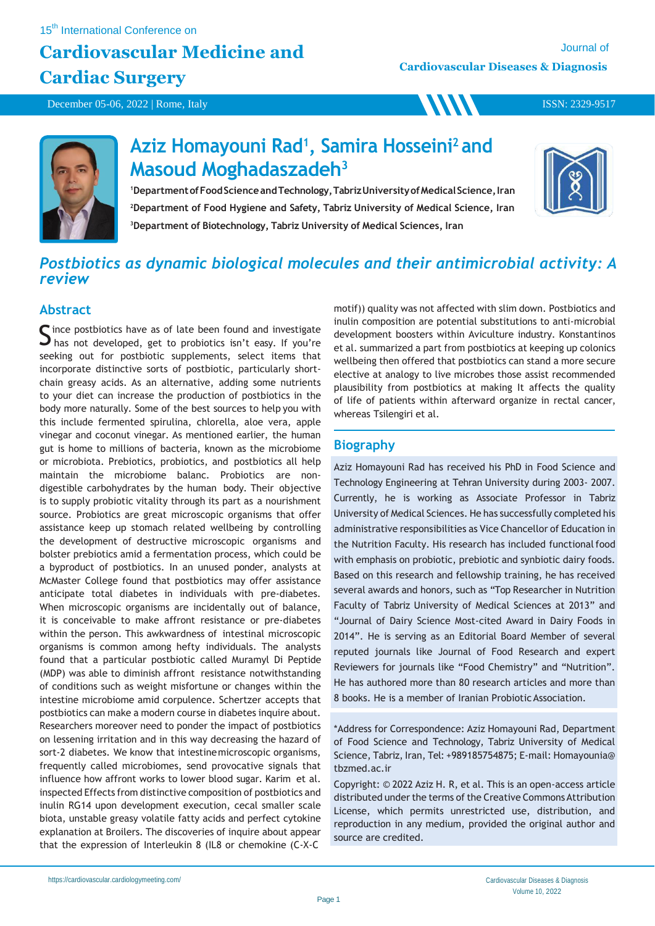**WW** 

December 05-06, 2022 | Rome, Italy

ISSN: 2329-9517



## **Aziz Homayouni Rad<sup>1</sup> , Samira Hosseini<sup>2</sup>and Masoud Moghadaszadeh<sup>3</sup>**

<sup>1</sup>Department of Food Science and Technology, Tabriz University of Medical Science, Iran **<sup>2</sup>Department of Food Hygiene and Safety, Tabriz University of Medical Science, Iran <sup>3</sup>Department of Biotechnology, Tabriz University of Medical Sciences, Iran**



### *Postbiotics as dynamic biological molecules and their antimicrobial activity: A review*

### **Abstract**

Since postbiotics have as of late been found and investigate<br>S has not developed, get to probiotics isn't easy. If you're  $\Box$  has not developed, get to probiotics isn't easy. If you're seeking out for postbiotic supplements, select items that incorporate distinctive sorts of postbiotic, particularly shortchain greasy acids. As an alternative, adding some nutrients to your diet can increase the production of postbiotics in the body more naturally. Some of the best sources to help you with this include fermented spirulina, chlorella, aloe vera, apple vinegar and coconut vinegar. As mentioned earlier, the human gut is home to millions of bacteria, known as the microbiome or microbiota. Prebiotics, probiotics, and postbiotics all help maintain the microbiome balanc. Probiotics are nondigestible carbohydrates by the human body. Their objective is to supply probiotic vitality through its part as a nourishment source. Probiotics are great microscopic organisms that offer assistance keep up stomach related wellbeing by controlling the development of destructive microscopic organisms and bolster prebiotics amid a fermentation process, which could be a byproduct of postbiotics. In an unused ponder, analysts at McMaster College found that postbiotics may offer assistance anticipate total diabetes in individuals with pre-diabetes. When microscopic organisms are incidentally out of balance, it is conceivable to make affront resistance or pre-diabetes within the person. This awkwardness of intestinal microscopic organisms is common among hefty individuals. The analysts found that a particular postbiotic called Muramyl Di Peptide (MDP) was able to diminish affront resistance notwithstanding of conditions such as weight misfortune or changes within the intestine microbiome amid corpulence. Schertzer accepts that postbiotics can make a modern course in diabetes inquire about. Researchers moreover need to ponder the impact of postbiotics on lessening irritation and in this way decreasing the hazard of sort-2 diabetes. We know that intestinemicroscopic organisms, frequently called microbiomes, send provocative signals that influence how affront works to lower blood sugar. Karim et al. inspected Effects from distinctive composition of postbiotics and inulin RG14 upon development execution, cecal smaller scale biota, unstable greasy volatile fatty acids and perfect cytokine explanation at Broilers. The discoveries of inquire about appear that the expression of Interleukin 8 (IL8 or chemokine (C-X-C

motif)) quality was not affected with slim down. Postbiotics and inulin composition are potential substitutions to anti-microbial development boosters within Aviculture industry. Konstantinos et al. summarized a part from postbiotics at keeping up colonics wellbeing then offered that postbiotics can stand a more secure elective at analogy to live microbes those assist recommended plausibility from postbiotics at making It affects the quality of life of patients within afterward organize in rectal cancer, whereas Tsilengiri et al.

### **Biography**

Aziz Homayouni Rad has received his PhD in Food Science and Technology Engineering at Tehran University during 2003- 2007. Currently, he is working as Associate Professor in Tabriz University of Medical Sciences. He has successfully completed his administrative responsibilities as Vice Chancellor of Education in the Nutrition Faculty. His research has included functional food with emphasis on probiotic, prebiotic and synbiotic dairy foods. Based on this research and fellowship training, he has received several awards and honors, such as "Top Researcher in Nutrition Faculty of Tabriz University of Medical Sciences at 2013" and "Journal of Dairy Science Most-cited Award in Dairy Foods in 2014". He is serving as an Editorial Board Member of several reputed journals like Journal of Food Research and expert Reviewers for journals like "Food Chemistry" and "Nutrition". He has authored more than 80 research articles and more than 8 books. He is a member of Iranian Probiotic Association.

\*Address for Correspondence: Aziz Homayouni Rad, Department of Food Science and Technology, Tabriz University of Medical Science, Tabriz, Iran, Tel: +989185754875; E-mail: Homayounia@ tbzmed.ac.ir

Copyright: © 2022 Aziz H. R, et al. This is an open-access article distributed under the terms of the Creative Commons Attribution License, which permits unrestricted use, distribution, and reproduction in any medium, provided the original author and source are credited.